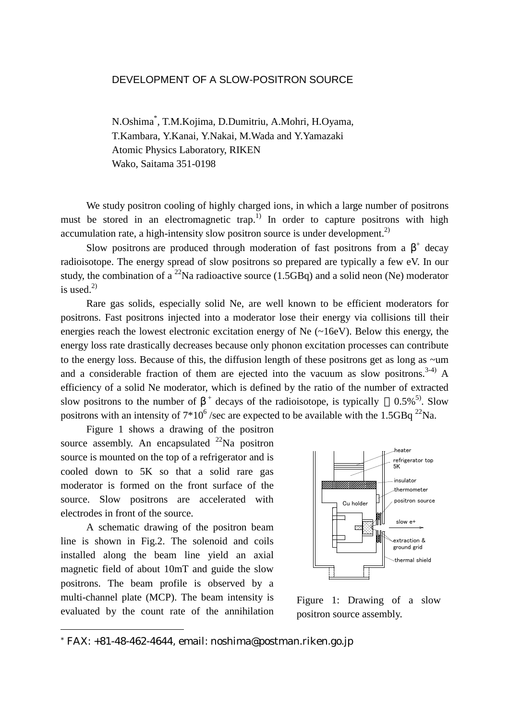## DEVELOPMENT OF A SLOW-POSITRON SOURCE

N.Oshima\* , T.M.Kojima, D.Dumitriu, A.Mohri, H.Oyama, T.Kambara, Y.Kanai, Y.Nakai, M.Wada and Y.Yamazaki Atomic Physics Laboratory, RIKEN Wako, Saitama 351-0198

We study positron cooling of highly charged ions, in which a large number of positrons must be stored in an electromagnetic trap.<sup>1)</sup> In order to capture positrons with high accumulation rate, a high-intensity slow positron source is under development.<sup>2)</sup>

Slow positrons are produced through moderation of fast positrons from a  $\beta^+$  decay radioisotope. The energy spread of slow positrons so prepared are typically a few eV. In our study, the combination of a <sup>22</sup>Na radioactive source (1.5GBq) and a solid neon (Ne) moderator is used. $^{2)}$ 

 Rare gas solids, especially solid Ne, are well known to be efficient moderators for positrons. Fast positrons injected into a moderator lose their energy via collisions till their energies reach the lowest electronic excitation energy of Ne (~16eV). Below this energy, the energy loss rate drastically decreases because only phonon excitation processes can contribute to the energy loss. Because of this, the diffusion length of these positrons get as long as ~um and a considerable fraction of them are ejected into the vacuum as slow positrons.<sup>3-4)</sup> A efficiency of a solid Ne moderator, which is defined by the ratio of the number of extracted slow positrons to the number of  $\beta^+$  decays of the radioisotope, is typically 0.5%<sup>5)</sup>. Slow positrons with an intensity of  $7*10^6$  /sec are expected to be available with the 1.5GBq  $^{22}$ Na.

 Figure 1 shows a drawing of the positron source assembly. An encapsulated  $^{22}$ Na positron source is mounted on the top of a refrigerator and is cooled down to 5K so that a solid rare gas moderator is formed on the front surface of the source. Slow positrons are accelerated with electrodes in front of the source.

 A schematic drawing of the positron beam line is shown in Fig.2. The solenoid and coils installed along the beam line yield an axial magnetic field of about 10mT and guide the slow positrons. The beam profile is observed by a multi-channel plate (MCP). The beam intensity is evaluated by the count rate of the annihilation

l



Figure 1: Drawing of a slow positron source assembly.

 $*$  FAX:  $+81-48-462-4644$ , email: noshima@postman.riken.go.jp